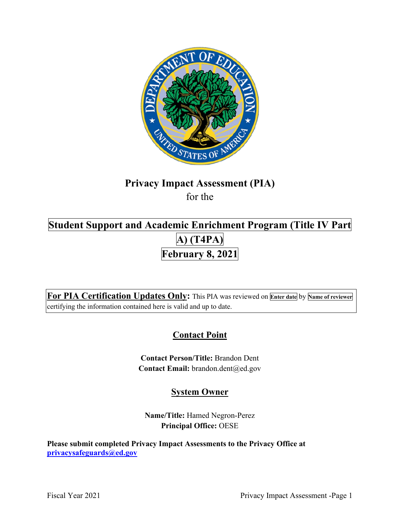

# **Privacy Impact Assessment (PIA)**  for the

# **Student Support and Academic Enrichment Program (Title IV Part February 8, 2021 A) (T4PA)**

 **For PIA Certification Updates Only:** This PIA was reviewed on **Enter date** by **Name of reviewer**  certifying the information contained here is valid and up to date.

# **Contact Point**

**Contact Person/Title:** Brandon Dent **Contact Email:** [brandon.dent@ed.gov](mailto:brandon.dent@ed.gov) 

## **System Owner**

**Name/Title:** Hamed Negron-Perez **Principal Office:** OESE

 **[privacysafeguards@ed.gov](mailto:privacysafeguards@ed.gov) Please submit completed Privacy Impact Assessments to the Privacy Office at**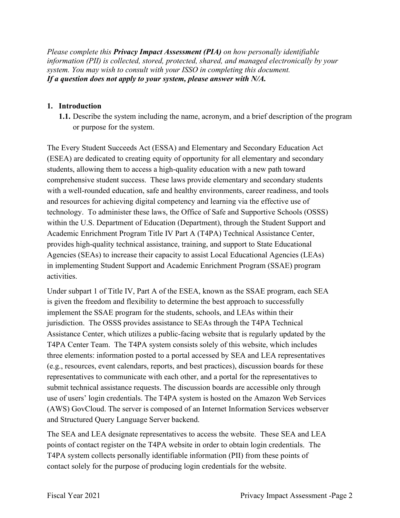*Please complete this Privacy Impact Assessment (PIA) on how personally identifiable information (PII) is collected, stored, protected, shared, and managed electronically by your system. You may wish to consult with your ISSO in completing this document. If a question does not apply to your system, please answer with N/A.* 

### **1. Introduction**

 **1.1.** Describe the system including the name, acronym, and a brief description of the program or purpose for the system. The Every Student Succeeds Act (ESSA) and Elementary and Secondary Education Act

(ESEA) are dedicated to creating equity of opportunity for all elementary and secondary students, allowing them to access a high-quality education with a new path toward comprehensive student success. These laws provide elementary and secondary students with a well-rounded education, safe and healthy environments, career readiness, and tools and resources for achieving digital competency and learning via the effective use of technology. To administer these laws, the Office of Safe and Supportive Schools (OSSS) within the U.S. Department of Education (Department), through the Student Support and Academic Enrichment Program Title IV Part A (T4PA) Technical Assistance Center, provides high-quality technical assistance, training, and support to State Educational Agencies (SEAs) to increase their capacity to assist Local Educational Agencies (LEAs) in implementing Student Support and Academic Enrichment Program (SSAE) program activities.

 representatives to communicate with each other, and a portal for the representatives to Under subpart 1 of Title IV, Part A of the ESEA, known as the SSAE program, each SEA is given the freedom and flexibility to determine the best approach to successfully implement the SSAE program for the students, schools, and LEAs within their jurisdiction. The OSSS provides assistance to SEAs through the T4PA Technical Assistance Center, which utilizes a public-facing website that is regularly updated by the T4PA Center Team. The T4PA system consists solely of this website, which includes three elements: information posted to a portal accessed by SEA and LEA representatives (e.g., resources, event calendars, reports, and best practices), discussion boards for these submit technical assistance requests. The discussion boards are accessible only through use of users' login credentials. The T4PA system is hosted on the Amazon Web Services (AWS) GovCloud. The server is composed of an Internet Information Services webserver and Structured Query Language Server backend.

The SEA and LEA designate representatives to access the website. These SEA and LEA points of contact register on the T4PA website in order to obtain login credentials. The T4PA system collects personally identifiable information (PII) from these points of contact solely for the purpose of producing login credentials for the website.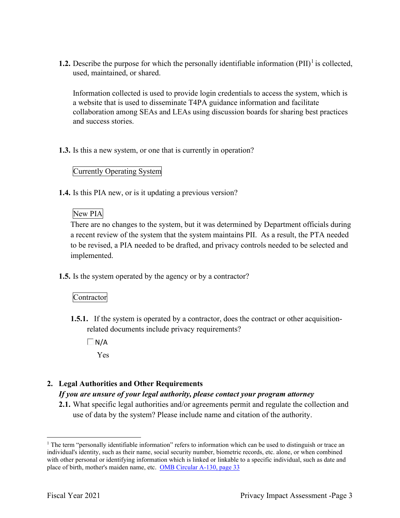**1.2.** Describe the purpose for which the personally identifiable information  $(PII)^{1}$  is collected, used, maintained, or shared.

 collaboration among SEAs and LEAs using discussion boards for sharing best practices Information collected is used to provide login credentials to access the system, which is a website that is used to disseminate T4PA guidance information and facilitate and success stories.

**1.3.** Is this a new system, or one that is currently in operation?

### Currently Operating System

**1.4.** Is this PIA new, or is it updating a previous version?

### New PIA

 a recent review of the system that the system maintains PII. As a result, the PTA needed There are no changes to the system, but it was determined by Department officials during to be revised, a PIA needed to be drafted, and privacy controls needed to be selected and implemented.

**1.5.** Is the system operated by the agency or by a contractor?

### Contractor

- **1.5.1.** If the system is operated by a contractor, does the contract or other acquisitionrelated documents include privacy requirements?
	- $\Box N/A$

Yes

### **2. Legal Authorities and Other Requirements**

### *If you are unsure of your legal authority, please contact your program attorney*

**2.1.** What specific legal authorities and/or agreements permit and regulate the collection and use of data by the system? Please include name and citation of the authority.

place of birth, mother's maiden name, etc. OMB Circular A-130, page 33 <sup>1</sup> The term "personally identifiable information" refers to information which can be used to distinguish or trace an individual's identity, such as their name, social security number, biometric records, etc. alone, or when combined with other personal or identifying information which is linked or linkable to a specific individual, such as date and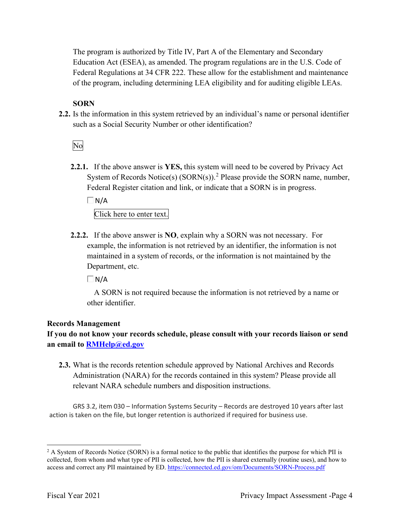The program is authorized by Title IV, Part A of the Elementary and Secondary Education Act (ESEA), as amended. The program regulations are in the U.S. Code of Federal Regulations at 34 CFR 222. These allow for the establishment and maintenance of the program, including determining LEA eligibility and for auditing eligible LEAs.

### **SORN**

such as a Social Security Number or other identification?<br>No **2.2.** Is the information in this system retrieved by an individual's name or personal identifier

**2.2.1.** If the above answer is **YES,** this system will need to be covered by Privacy Act System of Records Notice(s)  $(SORN(s))$ .<sup>2</sup> Please provide the SORN name, number, Federal Register citation and link, or indicate that a SORN is in progress.

 $\Box$  N/A

Click here to enter text.

 **2.2.2.** If the above answer is **NO**, explain why a SORN was not necessary. For Department, etc. example, the information is not retrieved by an identifier, the information is not maintained in a system of records, or the information is not maintained by the

 $\Box$ N/A

A SORN is not required because the information is not retrieved by a name or other identifier.

### **Records Management**

**If you do not know your records schedule, please consult with your records liaison or send an email to [RMHelp@ed.gov](mailto:RMHelp@ed.gov)** 

 **2.3.** What is the records retention schedule approved by National Archives and Records Administration (NARA) for the records contained in this system? Please provide all relevant NARA schedule numbers and disposition instructions.

 GRS 3.2, item 030 – Information Systems Security – Records are destroyed 10 years after last action is taken on the file, but longer retention is authorized if required for business use.

access and correct any PII maintained by ED. https://connected.ed.gov/om/Documents/SORN-Process.pdf<br>Fiscal Year 2021 Privacy Impact Assessment -Page 4  $2$  A System of Records Notice (SORN) is a formal notice to the public that identifies the purpose for which PII is collected, from whom and what type of PII is collected, how the PII is shared externally (routine uses), and how to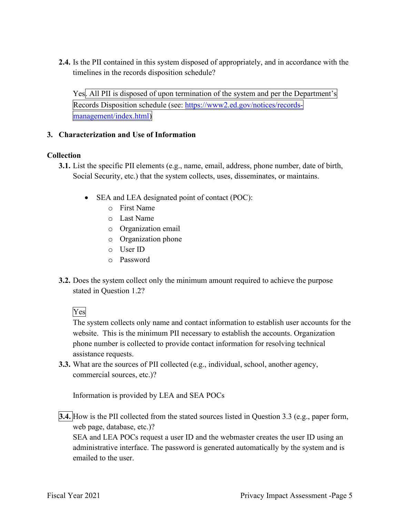**2.4.** Is the PII contained in this system disposed of appropriately, and in accordance with the timelines in the records disposition schedule?

Yes. All PII is disposed of upon termination of the system and per the Department's Records Disposition schedule (see: https://www2.ed.gov/notices/records-management/index.html)

### **3. Characterization and Use of Information**

### **Collection**

- **3.1.** List the specific PII elements (e.g., name, email, address, phone number, date of birth, Social Security, etc.) that the system collects, uses, disseminates, or maintains.
	- • SEA and LEA designated point of contact (POC):
		- o First Name
		- o Last Name
		- o Organization email
		- o Organization phone
		- o User ID
		- o Password
- stated in Question 1.2?<br>Yes **3.2.** Does the system collect only the minimum amount required to achieve the purpose

 assistance requests. The system collects only name and contact information to establish user accounts for the website. This is the minimum PII necessary to establish the accounts. Organization phone number is collected to provide contact information for resolving technical

**3.3.** What are the sources of PII collected (e.g., individual, school, another agency, commercial sources, etc.)?

Information is provided by LEA and SEA POCs

 **3.4.** How is the PII collected from the stated sources listed in Question 3.3 (e.g., paper form, web page, database, etc.)?

 SEA and LEA POCs request a user ID and the webmaster creates the user ID using an administrative interface. The password is generated automatically by the system and is emailed to the user.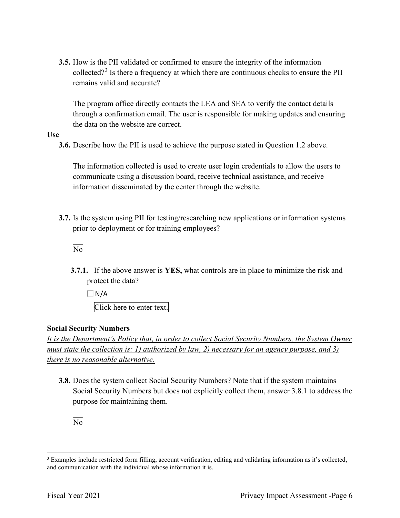**3.5.** How is the PII validated or confirmed to ensure the integrity of the information collected?<sup>3</sup> Is there a frequency at which there are continuous checks to ensure the PII remains valid and accurate?

 the data on the website are correct. The program office directly contacts the LEA and SEA to verify the contact details through a confirmation email. The user is responsible for making updates and ensuring

### **Use**

**3.6.** Describe how the PII is used to achieve the purpose stated in Question 1.2 above.

The information collected is used to create user login credentials to allow the users to communicate using a discussion board, receive technical assistance, and receive information disseminated by the center through the website.

 **3.7.** Is the system using PII for testing/researching new applications or information systems prior to deployment or for training employees?<br>No

**3.7.1.** If the above answer is **YES,** what controls are in place to minimize the risk and protect the data?

 Click here to enter text.  $\Box$  N/A

### **Social Security Numbers**

*It is the Department's Policy that, in order to collect Social Security Numbers, the System Owner must state the collection is: 1) authorized by law, 2) necessary for an agency purpose, and 3) there is no reasonable alternative.* 

 **3.8.** Does the system collect Social Security Numbers? Note that if the system maintains Social Security Numbers but does not explicitly collect them, answer 3.8.1 to address the purpose for maintaining them.



and communication with the individual whose information it is. <sup>3</sup> Examples include restricted form filling, account verification, editing and validating information as it's collected, and communication with the individual whose information it is.<br>Fiscal Year 2021 Privacy Impact Assessment -Page 6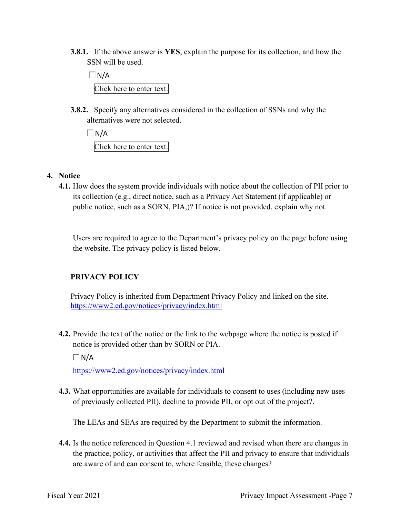**3.8.1.** If the above answer is **YES**, explain the purpose for its collection, and how the SSN will be used.

 $\Box$ N/A Click here to enter text.

 **3.8.2.** Specify any alternatives considered in the collection of SSNs and why the alternatives were not selected.

 $\Box$  N/A Click here to enter text.

### **4. Notice**

 its collection (e.g., direct notice, such as a Privacy Act Statement (if applicable) or public notice, such as a SORN, PIA,)? If notice is not provided, explain why not. **4.1.** How does the system provide individuals with notice about the collection of PII prior to

Users are required to agree to the Department's privacy policy on the page before using the website. The privacy policy is listed below.

### **PRIVACY POLICY**

 <https://www2.ed.gov/notices/privacy/index.html> Privacy Policy is inherited from Department Privacy Policy and linked on the site.

**4.2.** Provide the text of the notice or the link to the webpage where the notice is posted if notice is provided other than by SORN or PIA.

 $\Box$ N/A

<https://www2.ed.gov/notices/privacy/index.html>

 of previously collected PII), decline to provide PII, or opt out of the project?. **4.3.** What opportunities are available for individuals to consent to uses (including new uses

The LEAs and SEAs are required by the Department to submit the information.

 the practice, policy, or activities that affect the PII and privacy to ensure that individuals are aware of and can consent to, where feasible, these changes? **4.4.** Is the notice referenced in Question 4.1 reviewed and revised when there are changes in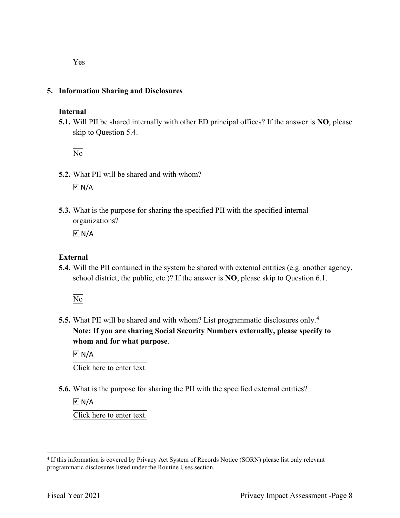Yes

### **5. Information Sharing and Disclosures**

### **Internal**

 **5.1.** Will PII be shared internally with other ED principal offices? If the answer is **NO**, please skip to Question 5.4.

No

- **5.2.** What PII will be shared and with whom?  $\overline{M}$  N/A
- organizations? **5.3.** What is the purpose for sharing the specified PII with the specified internal

 $\overline{M}$  N/A

### **External**

**5.4.** Will the PII contained in the system be shared with external entities (e.g. another agency, school district, the public, etc.)? If the answer is **NO**, please skip to Question 6.1.

No

 **5.5.** What PII will be shared and with whom? List programmatic disclosures only.<sup>4</sup> **Note: If you are sharing Social Security Numbers externally, please specify to whom and for what purpose**.

 Click here to enter text.  $\overline{M}$  N/A

**5.6.** What is the purpose for sharing the PII with the specified external entities?

 $\overline{M}$  N/A

Click here to enter text.

<sup>&</sup>lt;sup>4</sup> If this information is covered by Privacy Act System of Records Notice (SORN) please list only relevant programmatic disclosures listed under the Routine Uses section.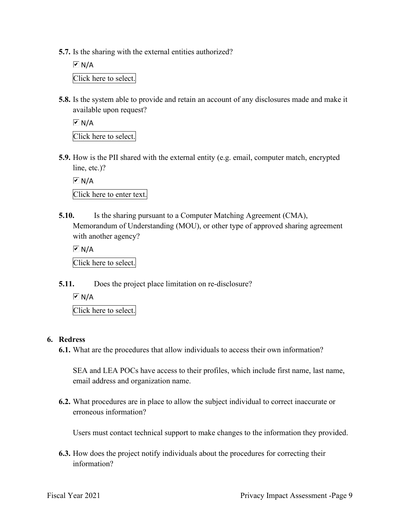**5.7.** Is the sharing with the external entities authorized?

l Click here to select.  $\overline{M}$  N/A

**5.8.** Is the system able to provide and retain an account of any disclosures made and make it available upon request?

 $\overline{M}$  N/A

Click here to select.

 **5.9.** How is the PII shared with the external entity (e.g. email, computer match, encrypted line, etc.)?

 $\overline{M}$  N/A

Click here to enter text.

**5.10.** Is the sharing pursuant to a Computer Matching Agreement (CMA), Memorandum of Understanding (MOU), or other type of approved sharing agreement with another agency?

 Click here to select.  $\overline{M}$  N/A

**5.11.** Does the project place limitation on re-disclosure?

 $\overline{\triangleright}$  N/A

Click here to select.

### **6. Redress**

**6.1.** What are the procedures that allow individuals to access their own information?

 SEA and LEA POCs have access to their profiles, which include first name, last name, email address and organization name.

**6.2.** What procedures are in place to allow the subject individual to correct inaccurate or erroneous information?

Users must contact technical support to make changes to the information they provided.

**6.3.** How does the project notify individuals about the procedures for correcting their information?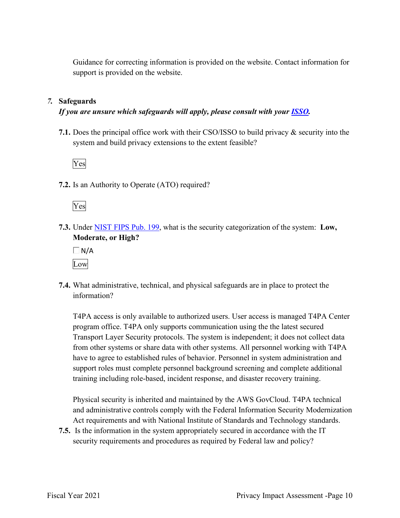support is provided on the website. Guidance for correcting information is provided on the website. Contact information for

### *7.* **Safeguards**

### *If you are unsure which safeguards will apply, please consult with your ISSO.*

 system and build privacy extensions to the extent feasible? **7.1.** Does the principal office work with their CSO/ISSO to build privacy & security into the



**7.2.** Is an Authority to Operate (ATO) required?



**7.3.** Under NIST FIPS Pub. 199, what is the security categorization of the system: **Low, Moderate, or High?** 

 $\Box$ N/A Low

**7.4.** What administrative, technical, and physical safeguards are in place to protect the information?

T4PA access is only available to authorized users. User access is managed T4PA Center program office. T4PA only supports communication using the the latest secured Transport Layer Security protocols. The system is independent; it does not collect data from other systems or share data with other systems. All personnel working with T4PA have to agree to established rules of behavior. Personnel in system administration and support roles must complete personnel background screening and complete additional training including role-based, incident response, and disaster recovery training.

Physical security is inherited and maintained by the AWS GovCloud. T4PA technical and administrative controls comply with the Federal Information Security Modernization Act requirements and with National Institute of Standards and Technology standards.

 security requirements and procedures as required by Federal law and policy? **7.5.** Is the information in the system appropriately secured in accordance with the IT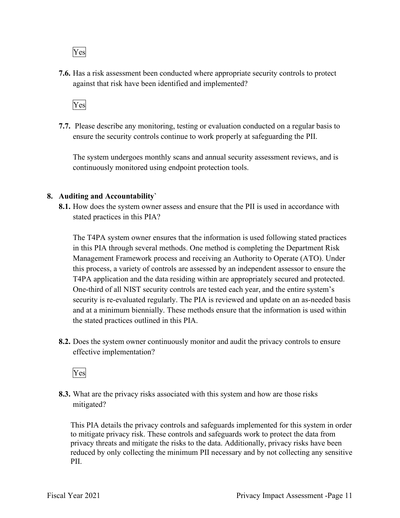Yes

**7.6.** Has a risk assessment been conducted where appropriate security controls to protect against that risk have been identified and implemented?



 ensure the security controls continue to work properly at safeguarding the PII. **7.7.** Please describe any monitoring, testing or evaluation conducted on a regular basis to

The system undergoes monthly scans and annual security assessment reviews, and is continuously monitored using endpoint protection tools.

### **8. Auditing and Accountability`**

 **8.1.** How does the system owner assess and ensure that the PII is used in accordance with stated practices in this PIA?

 this process, a variety of controls are assessed by an independent assessor to ensure the The T4PA system owner ensures that the information is used following stated practices in this PIA through several methods. One method is completing the Department Risk Management Framework process and receiving an Authority to Operate (ATO). Under T4PA application and the data residing within are appropriately secured and protected. One-third of all NIST security controls are tested each year, and the entire system's security is re-evaluated regularly. The PIA is reviewed and update on an as-needed basis and at a minimum biennially. These methods ensure that the information is used within the stated practices outlined in this PIA.

 **8.2.** Does the system owner continuously monitor and audit the privacy controls to ensure effective implementation?

Yes

 mitigated? **8.3.** What are the privacy risks associated with this system and how are those risks

This PIA details the privacy controls and safeguards implemented for this system in order to mitigate privacy risk. These controls and safeguards work to protect the data from privacy threats and mitigate the risks to the data. Additionally, privacy risks have been reduced by only collecting the minimum PII necessary and by not collecting any sensitive PII.